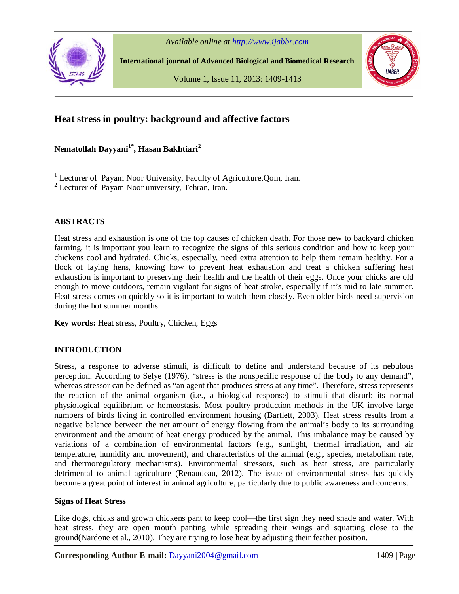



**International journal of Advanced Biological and Biomedical Research**

Volume 1, Issue 11, 2013: 1409-1413



# **Heat stress in poultry: background and affective factors**

## **Nematollah Dayyani1\* , Hasan Bakhtiari<sup>2</sup>**

<sup>1</sup> Lecturer of Payam Noor University, Faculty of Agriculture, Qom, Iran.

<sup>2</sup> Lecturer of Payam Noor university, Tehran, Iran.

#### **ABSTRACTS**

Heat stress and exhaustion is one of the top causes of chicken death. For those new to backyard chicken farming, it is important you learn to recognize the signs of this serious condition and how to keep your chickens cool and hydrated. Chicks, especially, need extra attention to help them remain healthy. For a flock of laying hens, knowing how to prevent heat exhaustion and treat a chicken suffering heat exhaustion is important to preserving their health and the health of their eggs. Once your chicks are old enough to move outdoors, remain vigilant for signs of heat stroke, especially if it's mid to late summer. Heat stress comes on quickly so it is important to watch them closely. Even older birds need supervision during the hot summer months.

**Key words:** Heat stress, Poultry, Chicken, Eggs

## **INTRODUCTION**

Stress, a response to adverse stimuli, is difficult to define and understand because of its nebulous perception. According to Selye (1976), "stress is the nonspecific response of the body to any demand", whereas stressor can be defined as "an agent that produces stress at any time". Therefore, stress represents the reaction of the animal organism (i.e., a biological response) to stimuli that disturb its normal physiological equilibrium or homeostasis. Most poultry production methods in the UK involve large numbers of birds living in controlled environment housing (Bartlett, 2003). Heat stress results from a negative balance between the net amount of energy flowing from the animal's body to its surrounding environment and the amount of heat energy produced by the animal. This imbalance may be caused by variations of a combination of environmental factors (e.g., sunlight, thermal irradiation, and air temperature, humidity and movement), and characteristics of the animal (e.g., species, metabolism rate, and thermoregulatory mechanisms). Environmental stressors, such as heat stress, are particularly detrimental to animal agriculture (Renaudeau, 2012). The issue of environmental stress has quickly become a great point of interest in animal agriculture, particularly due to public awareness and concerns.

#### **Signs of Heat Stress**

Like dogs, chicks and grown chickens pant to keep cool—the first sign they need shade and water. With heat stress, they are open mouth panting while spreading their wings and squatting close to the ground(Nardone et al., 2010). They are trying to lose heat by adjusting their feather position.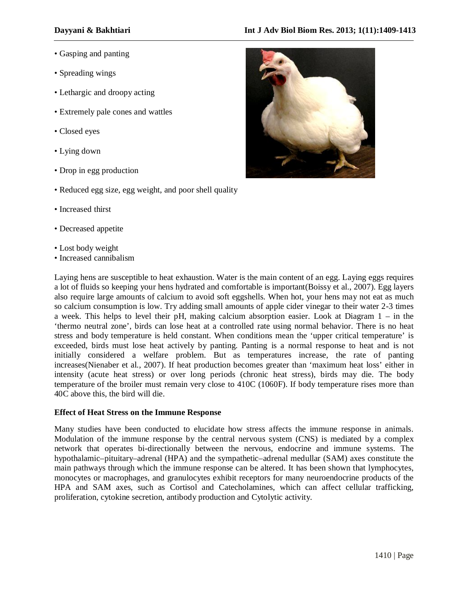- Spreading wings
- Lethargic and droopy acting
- Extremely pale cones and wattles
- Closed eyes
- Lying down
- Drop in egg production
- Reduced egg size, egg weight, and poor shell quality
- Increased thirst
- Decreased appetite
- Lost body weight
- Increased cannibalism

Laying hens are susceptible to heat exhaustion. Water is the main content of an egg. Laying eggs requires a lot of fluids so keeping your hens hydrated and comfortable is important(Boissy et al., 2007). Egg layers also require large amounts of calcium to avoid soft eggshells. When hot, your hens may not eat as much so calcium consumption is low. Try adding small amounts of apple cider vinegar to their water 2-3 times a week. This helps to level their pH, making calcium absorption easier. Look at Diagram 1 – in the 'thermo neutral zone', birds can lose heat at a controlled rate using normal behavior. There is no heat stress and body temperature is held constant. When conditions mean the 'upper critical temperature' is exceeded, birds must lose heat actively by panting. Panting is a normal response to heat and is not initially considered a welfare problem. But as temperatures increase, the rate of panting increases(Nienaber et al., 2007). If heat production becomes greater than 'maximum heat loss' either in intensity (acute heat stress) or over long periods (chronic heat stress), birds may die. The body temperature of the broiler must remain very close to 410C (1060F). If body temperature rises more than 40C above this, the bird will die.

## **Effect of Heat Stress on the Immune Response**

Many studies have been conducted to elucidate how stress affects the immune response in animals. Modulation of the immune response by the central nervous system (CNS) is mediated by a complex network that operates bi-directionally between the nervous, endocrine and immune systems. The hypothalamic–pituitary–adrenal (HPA) and the sympathetic–adrenal medullar (SAM) axes constitute the main pathways through which the immune response can be altered. It has been shown that lymphocytes, monocytes or macrophages, and granulocytes exhibit receptors for many neuroendocrine products of the HPA and SAM axes, such as Cortisol and Catecholamines, which can affect cellular trafficking, proliferation, cytokine secretion, antibody production and Cytolytic activity.

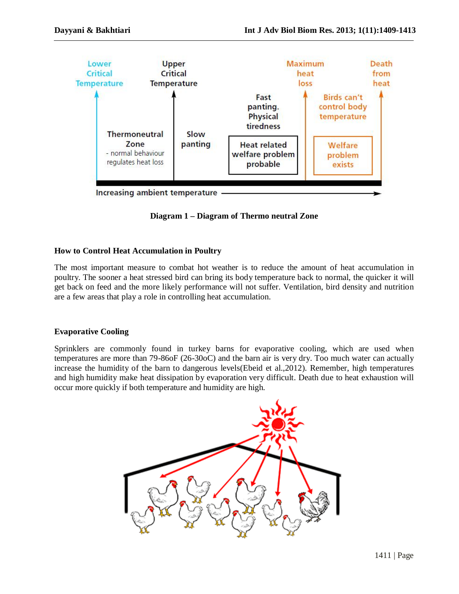

**Diagram 1 – Diagram of Thermo neutral Zone**

## **How to Control Heat Accumulation in Poultry**

The most important measure to combat hot weather is to reduce the amount of heat accumulation in poultry. The sooner a heat stressed bird can bring its body temperature back to normal, the quicker it will get back on feed and the more likely performance will not suffer. Ventilation, bird density and nutrition are a few areas that play a role in controlling heat accumulation.

## **Evaporative Cooling**

Sprinklers are commonly found in turkey barns for evaporative cooling, which are used when temperatures are more than 79-86oF (26-30oC) and the barn air is very dry. Too much water can actually increase the humidity of the barn to dangerous levels(Ebeid et al.,2012). Remember, high temperatures and high humidity make heat dissipation by evaporation very difficult. Death due to heat exhaustion will occur more quickly if both temperature and humidity are high.

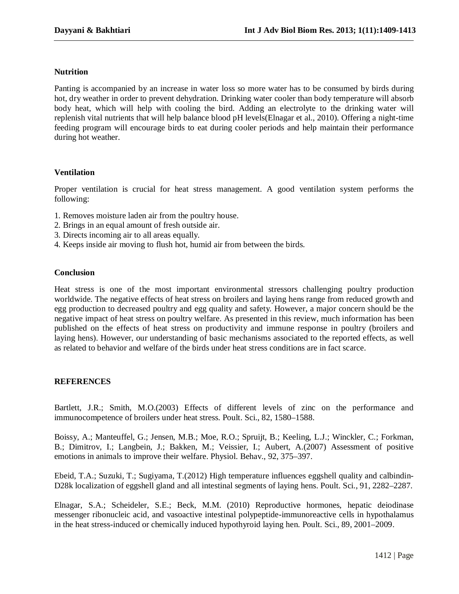#### **Nutrition**

Panting is accompanied by an increase in water loss so more water has to be consumed by birds during hot, dry weather in order to prevent dehydration. Drinking water cooler than body temperature will absorb body heat, which will help with cooling the bird. Adding an electrolyte to the drinking water will replenish vital nutrients that will help balance blood pH levels(Elnagar et al., 2010). Offering a night-time feeding program will encourage birds to eat during cooler periods and help maintain their performance during hot weather.

#### **Ventilation**

Proper ventilation is crucial for heat stress management. A good ventilation system performs the following:

- 1. Removes moisture laden air from the poultry house.
- 2. Brings in an equal amount of fresh outside air.
- 3. Directs incoming air to all areas equally.
- 4. Keeps inside air moving to flush hot, humid air from between the birds.

#### **Conclusion**

Heat stress is one of the most important environmental stressors challenging poultry production worldwide. The negative effects of heat stress on broilers and laying hens range from reduced growth and egg production to decreased poultry and egg quality and safety. However, a major concern should be the negative impact of heat stress on poultry welfare. As presented in this review, much information has been published on the effects of heat stress on productivity and immune response in poultry (broilers and laying hens). However, our understanding of basic mechanisms associated to the reported effects, as well as related to behavior and welfare of the birds under heat stress conditions are in fact scarce.

## **REFERENCES**

Bartlett, J.R.; Smith, M.O.(2003) Effects of different levels of zinc on the performance and immunocompetence of broilers under heat stress. Poult. Sci., 82, 1580–1588.

Boissy, A.; Manteuffel, G.; Jensen, M.B.; Moe, R.O.; Spruijt, B.; Keeling, L.J.; Winckler, C.; Forkman, B.; Dimitrov, I.; Langbein, J.; Bakken, M.; Veissier, I.; Aubert, A.(2007) Assessment of positive emotions in animals to improve their welfare. Physiol. Behav., 92, 375–397.

Ebeid, T.A.; Suzuki, T.; Sugiyama, T.(2012) High temperature influences eggshell quality and calbindin-D28k localization of eggshell gland and all intestinal segments of laying hens. Poult. Sci., 91, 2282–2287.

Elnagar, S.A.; Scheideler, S.E.; Beck, M.M. (2010) Reproductive hormones, hepatic deiodinase messenger ribonucleic acid, and vasoactive intestinal polypeptide-immunoreactive cells in hypothalamus in the heat stress-induced or chemically induced hypothyroid laying hen. Poult. Sci., 89, 2001–2009.